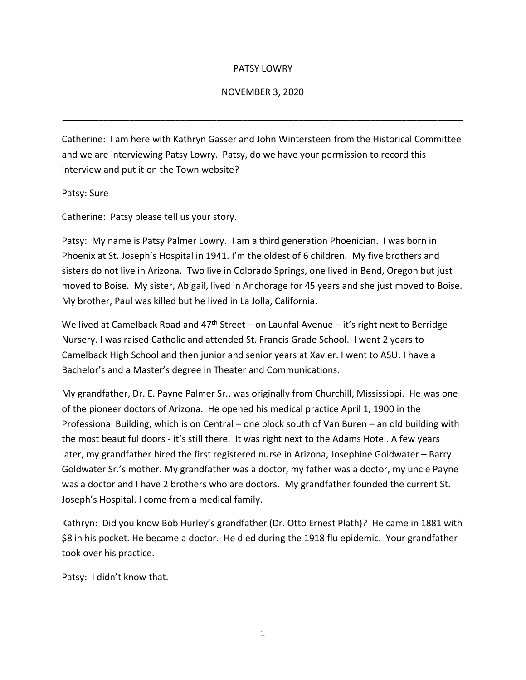## PATSY LOWRY

## NOVEMBER 3, 2020

\_\_\_\_\_\_\_\_\_\_\_\_\_\_\_\_\_\_\_\_\_\_\_\_\_\_\_\_\_\_\_\_\_\_\_\_\_\_\_\_\_\_\_\_\_\_\_\_\_\_\_\_\_\_\_\_\_\_\_\_\_\_\_\_\_\_\_\_\_\_\_\_\_\_\_\_\_\_

Catherine: I am here with Kathryn Gasser and John Wintersteen from the Historical Committee and we are interviewing Patsy Lowry. Patsy, do we have your permission to record this interview and put it on the Town website?

Patsy: Sure

Catherine: Patsy please tell us your story.

Patsy: My name is Patsy Palmer Lowry. I am a third generation Phoenician. I was born in Phoenix at St. Joseph's Hospital in 1941. I'm the oldest of 6 children. My five brothers and sisters do not live in Arizona. Two live in Colorado Springs, one lived in Bend, Oregon but just moved to Boise. My sister, Abigail, lived in Anchorage for 45 years and she just moved to Boise. My brother, Paul was killed but he lived in La Jolla, California.

We lived at Camelback Road and 47<sup>th</sup> Street – on Launfal Avenue – it's right next to Berridge Nursery. I was raised Catholic and attended St. Francis Grade School. I went 2 years to Camelback High School and then junior and senior years at Xavier. I went to ASU. I have a Bachelor's and a Master's degree in Theater and Communications.

My grandfather, Dr. E. Payne Palmer Sr., was originally from Churchill, Mississippi. He was one of the pioneer doctors of Arizona. He opened his medical practice April 1, 1900 in the Professional Building, which is on Central – one block south of Van Buren – an old building with the most beautiful doors - it's still there. It was right next to the Adams Hotel. A few years later, my grandfather hired the first registered nurse in Arizona, Josephine Goldwater – Barry Goldwater Sr.'s mother. My grandfather was a doctor, my father was a doctor, my uncle Payne was a doctor and I have 2 brothers who are doctors. My grandfather founded the current St. Joseph's Hospital. I come from a medical family.

Kathryn: Did you know Bob Hurley's grandfather (Dr. Otto Ernest Plath)? He came in 1881 with \$8 in his pocket. He became a doctor. He died during the 1918 flu epidemic. Your grandfather took over his practice.

Patsy: I didn't know that.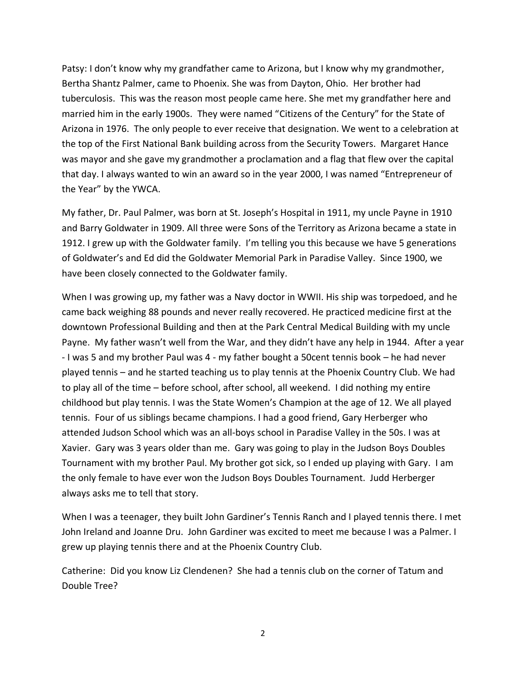Patsy: I don't know why my grandfather came to Arizona, but I know why my grandmother, Bertha Shantz Palmer, came to Phoenix. She was from Dayton, Ohio. Her brother had tuberculosis. This was the reason most people came here. She met my grandfather here and married him in the early 1900s. They were named "Citizens of the Century" for the State of Arizona in 1976. The only people to ever receive that designation. We went to a celebration at the top of the First National Bank building across from the Security Towers. Margaret Hance was mayor and she gave my grandmother a proclamation and a flag that flew over the capital that day. I always wanted to win an award so in the year 2000, I was named "Entrepreneur of the Year" by the YWCA.

My father, Dr. Paul Palmer, was born at St. Joseph's Hospital in 1911, my uncle Payne in 1910 and Barry Goldwater in 1909. All three were Sons of the Territory as Arizona became a state in 1912. I grew up with the Goldwater family. I'm telling you this because we have 5 generations of Goldwater's and Ed did the Goldwater Memorial Park in Paradise Valley. Since 1900, we have been closely connected to the Goldwater family.

When I was growing up, my father was a Navy doctor in WWII. His ship was torpedoed, and he came back weighing 88 pounds and never really recovered. He practiced medicine first at the downtown Professional Building and then at the Park Central Medical Building with my uncle Payne. My father wasn't well from the War, and they didn't have any help in 1944. After a year - I was 5 and my brother Paul was 4 - my father bought a 50cent tennis book – he had never played tennis – and he started teaching us to play tennis at the Phoenix Country Club. We had to play all of the time – before school, after school, all weekend. I did nothing my entire childhood but play tennis. I was the State Women's Champion at the age of 12. We all played tennis. Four of us siblings became champions. I had a good friend, Gary Herberger who attended Judson School which was an all-boys school in Paradise Valley in the 50s. I was at Xavier. Gary was 3 years older than me. Gary was going to play in the Judson Boys Doubles Tournament with my brother Paul. My brother got sick, so I ended up playing with Gary. I am the only female to have ever won the Judson Boys Doubles Tournament. Judd Herberger always asks me to tell that story.

When I was a teenager, they built John Gardiner's Tennis Ranch and I played tennis there. I met John Ireland and Joanne Dru. John Gardiner was excited to meet me because I was a Palmer. I grew up playing tennis there and at the Phoenix Country Club.

Catherine: Did you know Liz Clendenen? She had a tennis club on the corner of Tatum and Double Tree?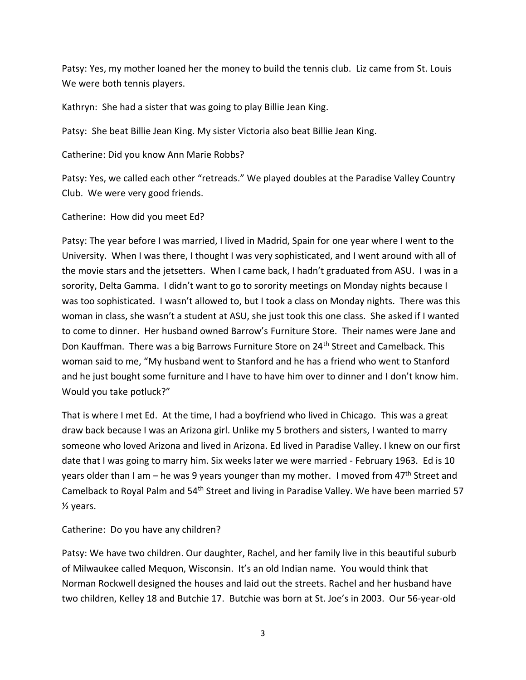Patsy: Yes, my mother loaned her the money to build the tennis club. Liz came from St. Louis We were both tennis players.

Kathryn: She had a sister that was going to play Billie Jean King.

Patsy: She beat Billie Jean King. My sister Victoria also beat Billie Jean King.

Catherine: Did you know Ann Marie Robbs?

Patsy: Yes, we called each other "retreads." We played doubles at the Paradise Valley Country Club. We were very good friends.

Catherine: How did you meet Ed?

Patsy: The year before I was married, I lived in Madrid, Spain for one year where I went to the University. When I was there, I thought I was very sophisticated, and I went around with all of the movie stars and the jetsetters. When I came back, I hadn't graduated from ASU. I was in a sorority, Delta Gamma. I didn't want to go to sorority meetings on Monday nights because I was too sophisticated. I wasn't allowed to, but I took a class on Monday nights. There was this woman in class, she wasn't a student at ASU, she just took this one class. She asked if I wanted to come to dinner. Her husband owned Barrow's Furniture Store. Their names were Jane and Don Kauffman. There was a big Barrows Furniture Store on 24<sup>th</sup> Street and Camelback. This woman said to me, "My husband went to Stanford and he has a friend who went to Stanford and he just bought some furniture and I have to have him over to dinner and I don't know him. Would you take potluck?"

That is where I met Ed. At the time, I had a boyfriend who lived in Chicago. This was a great draw back because I was an Arizona girl. Unlike my 5 brothers and sisters, I wanted to marry someone who loved Arizona and lived in Arizona. Ed lived in Paradise Valley. I knew on our first date that I was going to marry him. Six weeks later we were married - February 1963. Ed is 10 years older than I am – he was 9 years younger than my mother. I moved from  $47<sup>th</sup>$  Street and Camelback to Royal Palm and 54<sup>th</sup> Street and living in Paradise Valley. We have been married 57 ½ years.

Catherine: Do you have any children?

Patsy: We have two children. Our daughter, Rachel, and her family live in this beautiful suburb of Milwaukee called Mequon, Wisconsin. It's an old Indian name. You would think that Norman Rockwell designed the houses and laid out the streets. Rachel and her husband have two children, Kelley 18 and Butchie 17. Butchie was born at St. Joe's in 2003. Our 56-year-old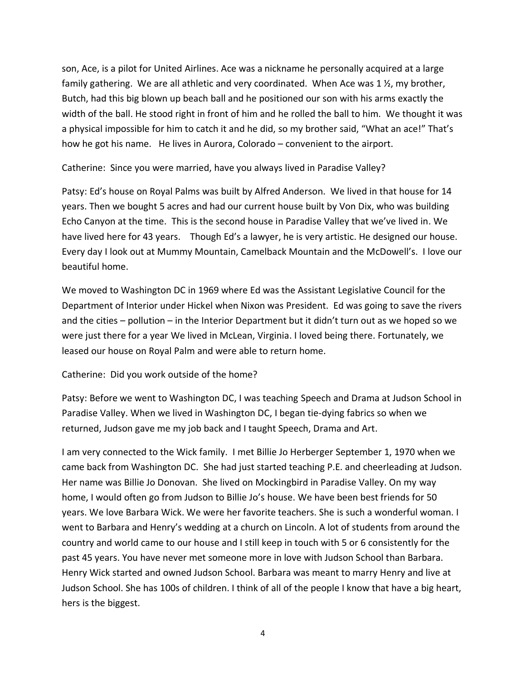son, Ace, is a pilot for United Airlines. Ace was a nickname he personally acquired at a large family gathering. We are all athletic and very coordinated. When Ace was 1 $\frac{1}{2}$ , my brother, Butch, had this big blown up beach ball and he positioned our son with his arms exactly the width of the ball. He stood right in front of him and he rolled the ball to him. We thought it was a physical impossible for him to catch it and he did, so my brother said, "What an ace!" That's how he got his name. He lives in Aurora, Colorado – convenient to the airport.

Catherine: Since you were married, have you always lived in Paradise Valley?

Patsy: Ed's house on Royal Palms was built by Alfred Anderson. We lived in that house for 14 years. Then we bought 5 acres and had our current house built by Von Dix, who was building Echo Canyon at the time. This is the second house in Paradise Valley that we've lived in. We have lived here for 43 years. Though Ed's a lawyer, he is very artistic. He designed our house. Every day I look out at Mummy Mountain, Camelback Mountain and the McDowell's. I love our beautiful home.

We moved to Washington DC in 1969 where Ed was the Assistant Legislative Council for the Department of Interior under Hickel when Nixon was President. Ed was going to save the rivers and the cities – pollution – in the Interior Department but it didn't turn out as we hoped so we were just there for a year We lived in McLean, Virginia. I loved being there. Fortunately, we leased our house on Royal Palm and were able to return home.

Catherine: Did you work outside of the home?

Patsy: Before we went to Washington DC, I was teaching Speech and Drama at Judson School in Paradise Valley. When we lived in Washington DC, I began tie-dying fabrics so when we returned, Judson gave me my job back and I taught Speech, Drama and Art.

I am very connected to the Wick family. I met Billie Jo Herberger September 1, 1970 when we came back from Washington DC. She had just started teaching P.E. and cheerleading at Judson. Her name was Billie Jo Donovan. She lived on Mockingbird in Paradise Valley. On my way home, I would often go from Judson to Billie Jo's house. We have been best friends for 50 years. We love Barbara Wick. We were her favorite teachers. She is such a wonderful woman. I went to Barbara and Henry's wedding at a church on Lincoln. A lot of students from around the country and world came to our house and I still keep in touch with 5 or 6 consistently for the past 45 years. You have never met someone more in love with Judson School than Barbara. Henry Wick started and owned Judson School. Barbara was meant to marry Henry and live at Judson School. She has 100s of children. I think of all of the people I know that have a big heart, hers is the biggest.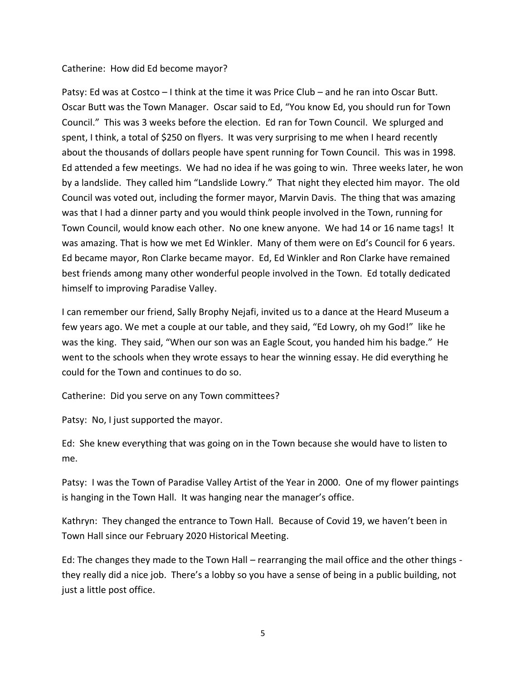## Catherine: How did Ed become mayor?

Patsy: Ed was at Costco – I think at the time it was Price Club – and he ran into Oscar Butt. Oscar Butt was the Town Manager. Oscar said to Ed, "You know Ed, you should run for Town Council." This was 3 weeks before the election. Ed ran for Town Council. We splurged and spent, I think, a total of \$250 on flyers. It was very surprising to me when I heard recently about the thousands of dollars people have spent running for Town Council. This was in 1998. Ed attended a few meetings. We had no idea if he was going to win. Three weeks later, he won by a landslide. They called him "Landslide Lowry." That night they elected him mayor. The old Council was voted out, including the former mayor, Marvin Davis. The thing that was amazing was that I had a dinner party and you would think people involved in the Town, running for Town Council, would know each other. No one knew anyone. We had 14 or 16 name tags! It was amazing. That is how we met Ed Winkler. Many of them were on Ed's Council for 6 years. Ed became mayor, Ron Clarke became mayor. Ed, Ed Winkler and Ron Clarke have remained best friends among many other wonderful people involved in the Town. Ed totally dedicated himself to improving Paradise Valley.

I can remember our friend, Sally Brophy Nejafi, invited us to a dance at the Heard Museum a few years ago. We met a couple at our table, and they said, "Ed Lowry, oh my God!" like he was the king. They said, "When our son was an Eagle Scout, you handed him his badge." He went to the schools when they wrote essays to hear the winning essay. He did everything he could for the Town and continues to do so.

Catherine: Did you serve on any Town committees?

Patsy: No, I just supported the mayor.

Ed: She knew everything that was going on in the Town because she would have to listen to me.

Patsy: I was the Town of Paradise Valley Artist of the Year in 2000. One of my flower paintings is hanging in the Town Hall. It was hanging near the manager's office.

Kathryn: They changed the entrance to Town Hall. Because of Covid 19, we haven't been in Town Hall since our February 2020 Historical Meeting.

Ed: The changes they made to the Town Hall – rearranging the mail office and the other things they really did a nice job. There's a lobby so you have a sense of being in a public building, not just a little post office.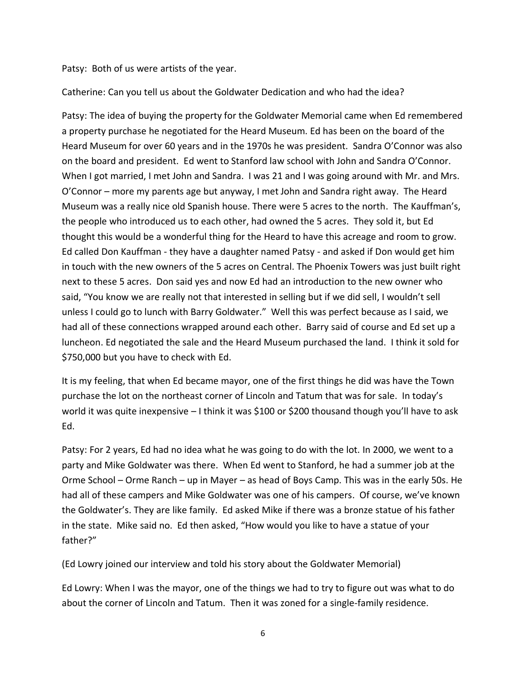Patsy: Both of us were artists of the year.

Catherine: Can you tell us about the Goldwater Dedication and who had the idea?

Patsy: The idea of buying the property for the Goldwater Memorial came when Ed remembered a property purchase he negotiated for the Heard Museum. Ed has been on the board of the Heard Museum for over 60 years and in the 1970s he was president. Sandra O'Connor was also on the board and president. Ed went to Stanford law school with John and Sandra O'Connor. When I got married, I met John and Sandra. I was 21 and I was going around with Mr. and Mrs. O'Connor – more my parents age but anyway, I met John and Sandra right away. The Heard Museum was a really nice old Spanish house. There were 5 acres to the north. The Kauffman's, the people who introduced us to each other, had owned the 5 acres. They sold it, but Ed thought this would be a wonderful thing for the Heard to have this acreage and room to grow. Ed called Don Kauffman - they have a daughter named Patsy - and asked if Don would get him in touch with the new owners of the 5 acres on Central. The Phoenix Towers was just built right next to these 5 acres. Don said yes and now Ed had an introduction to the new owner who said, "You know we are really not that interested in selling but if we did sell, I wouldn't sell unless I could go to lunch with Barry Goldwater." Well this was perfect because as I said, we had all of these connections wrapped around each other. Barry said of course and Ed set up a luncheon. Ed negotiated the sale and the Heard Museum purchased the land. I think it sold for \$750,000 but you have to check with Ed.

It is my feeling, that when Ed became mayor, one of the first things he did was have the Town purchase the lot on the northeast corner of Lincoln and Tatum that was for sale. In today's world it was quite inexpensive – I think it was \$100 or \$200 thousand though you'll have to ask Ed.

Patsy: For 2 years, Ed had no idea what he was going to do with the lot. In 2000, we went to a party and Mike Goldwater was there. When Ed went to Stanford, he had a summer job at the Orme School – Orme Ranch – up in Mayer – as head of Boys Camp. This was in the early 50s. He had all of these campers and Mike Goldwater was one of his campers. Of course, we've known the Goldwater's. They are like family. Ed asked Mike if there was a bronze statue of his father in the state. Mike said no. Ed then asked, "How would you like to have a statue of your father?"

(Ed Lowry joined our interview and told his story about the Goldwater Memorial)

Ed Lowry: When I was the mayor, one of the things we had to try to figure out was what to do about the corner of Lincoln and Tatum. Then it was zoned for a single-family residence.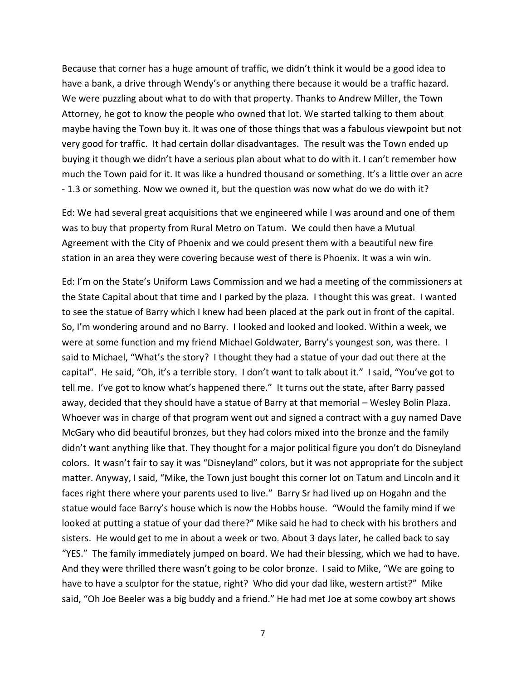Because that corner has a huge amount of traffic, we didn't think it would be a good idea to have a bank, a drive through Wendy's or anything there because it would be a traffic hazard. We were puzzling about what to do with that property. Thanks to Andrew Miller, the Town Attorney, he got to know the people who owned that lot. We started talking to them about maybe having the Town buy it. It was one of those things that was a fabulous viewpoint but not very good for traffic. It had certain dollar disadvantages. The result was the Town ended up buying it though we didn't have a serious plan about what to do with it. I can't remember how much the Town paid for it. It was like a hundred thousand or something. It's a little over an acre - 1.3 or something. Now we owned it, but the question was now what do we do with it?

Ed: We had several great acquisitions that we engineered while I was around and one of them was to buy that property from Rural Metro on Tatum. We could then have a Mutual Agreement with the City of Phoenix and we could present them with a beautiful new fire station in an area they were covering because west of there is Phoenix. It was a win win.

Ed: I'm on the State's Uniform Laws Commission and we had a meeting of the commissioners at the State Capital about that time and I parked by the plaza. I thought this was great. I wanted to see the statue of Barry which I knew had been placed at the park out in front of the capital. So, I'm wondering around and no Barry. I looked and looked and looked. Within a week, we were at some function and my friend Michael Goldwater, Barry's youngest son, was there. I said to Michael, "What's the story? I thought they had a statue of your dad out there at the capital". He said, "Oh, it's a terrible story. I don't want to talk about it." I said, "You've got to tell me. I've got to know what's happened there." It turns out the state, after Barry passed away, decided that they should have a statue of Barry at that memorial – Wesley Bolin Plaza. Whoever was in charge of that program went out and signed a contract with a guy named Dave McGary who did beautiful bronzes, but they had colors mixed into the bronze and the family didn't want anything like that. They thought for a major political figure you don't do Disneyland colors. It wasn't fair to say it was "Disneyland" colors, but it was not appropriate for the subject matter. Anyway, I said, "Mike, the Town just bought this corner lot on Tatum and Lincoln and it faces right there where your parents used to live." Barry Sr had lived up on Hogahn and the statue would face Barry's house which is now the Hobbs house. "Would the family mind if we looked at putting a statue of your dad there?" Mike said he had to check with his brothers and sisters. He would get to me in about a week or two. About 3 days later, he called back to say "YES." The family immediately jumped on board. We had their blessing, which we had to have. And they were thrilled there wasn't going to be color bronze. I said to Mike, "We are going to have to have a sculptor for the statue, right? Who did your dad like, western artist?" Mike said, "Oh Joe Beeler was a big buddy and a friend." He had met Joe at some cowboy art shows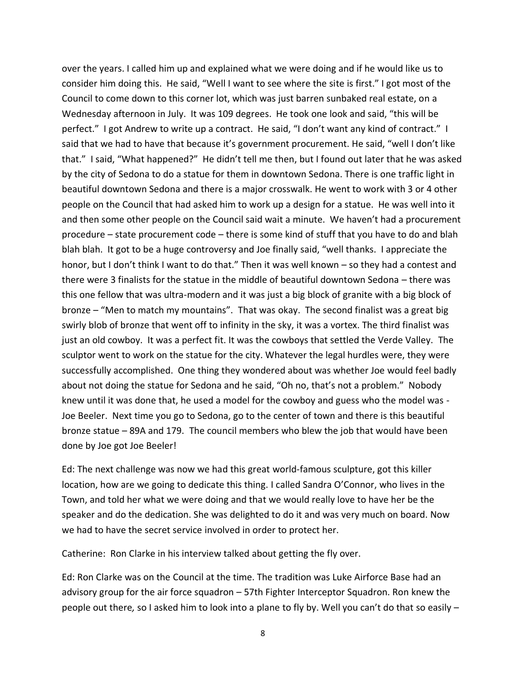over the years. I called him up and explained what we were doing and if he would like us to consider him doing this. He said, "Well I want to see where the site is first." I got most of the Council to come down to this corner lot, which was just barren sunbaked real estate, on a Wednesday afternoon in July. It was 109 degrees. He took one look and said, "this will be perfect." I got Andrew to write up a contract. He said, "I don't want any kind of contract." I said that we had to have that because it's government procurement. He said, "well I don't like that." I said, "What happened?" He didn't tell me then, but I found out later that he was asked by the city of Sedona to do a statue for them in downtown Sedona. There is one traffic light in beautiful downtown Sedona and there is a major crosswalk. He went to work with 3 or 4 other people on the Council that had asked him to work up a design for a statue. He was well into it and then some other people on the Council said wait a minute. We haven't had a procurement procedure – state procurement code – there is some kind of stuff that you have to do and blah blah blah. It got to be a huge controversy and Joe finally said, "well thanks. I appreciate the honor, but I don't think I want to do that." Then it was well known – so they had a contest and there were 3 finalists for the statue in the middle of beautiful downtown Sedona – there was this one fellow that was ultra-modern and it was just a big block of granite with a big block of bronze – "Men to match my mountains". That was okay. The second finalist was a great big swirly blob of bronze that went off to infinity in the sky, it was a vortex. The third finalist was just an old cowboy. It was a perfect fit. It was the cowboys that settled the Verde Valley. The sculptor went to work on the statue for the city. Whatever the legal hurdles were, they were successfully accomplished. One thing they wondered about was whether Joe would feel badly about not doing the statue for Sedona and he said, "Oh no, that's not a problem." Nobody knew until it was done that, he used a model for the cowboy and guess who the model was - Joe Beeler. Next time you go to Sedona, go to the center of town and there is this beautiful bronze statue – 89A and 179. The council members who blew the job that would have been done by Joe got Joe Beeler!

Ed: The next challenge was now we had this great world-famous sculpture, got this killer location, how are we going to dedicate this thing. I called Sandra O'Connor, who lives in the Town, and told her what we were doing and that we would really love to have her be the speaker and do the dedication. She was delighted to do it and was very much on board. Now we had to have the secret service involved in order to protect her.

Catherine: Ron Clarke in his interview talked about getting the fly over.

Ed: Ron Clarke was on the Council at the time. The tradition was Luke Airforce Base had an advisory group for the air force squadron – 57th Fighter Interceptor Squadron. Ron knew the people out there*,* so I asked him to look into a plane to fly by. Well you can't do that so easily –